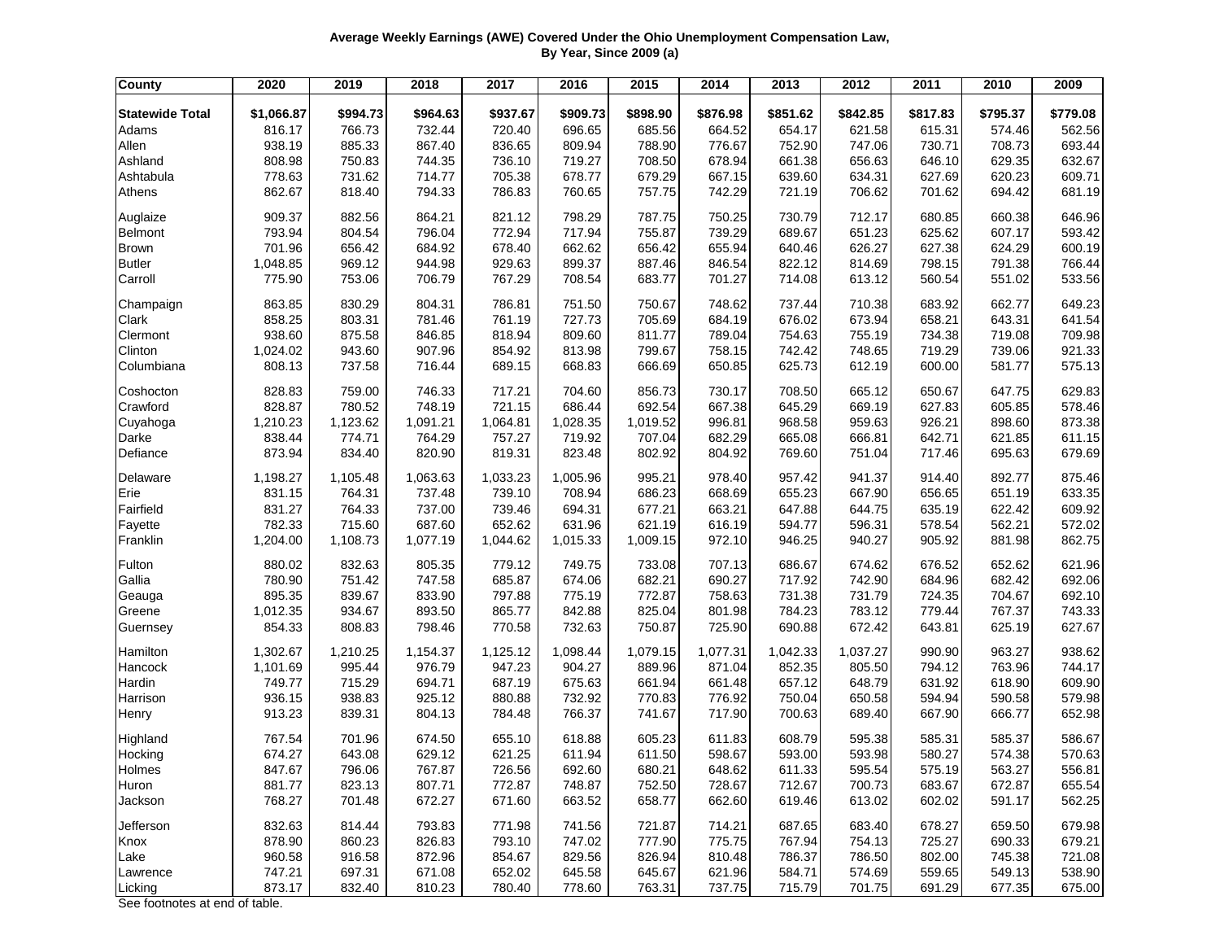## **Average Weekly Earnings (AWE) Covered Under the Ohio Unemployment Compensation Law, By Year, Since 2009 (a)**

| <b>County</b>          | 2020       | 2019     | 2018     | 2017     | 2016     | 2015     | 2014     | 2013     | 2012     | 2011     | 2010     | 2009     |
|------------------------|------------|----------|----------|----------|----------|----------|----------|----------|----------|----------|----------|----------|
| <b>Statewide Total</b> | \$1,066.87 | \$994.73 | \$964.63 | \$937.67 | \$909.73 | \$898.90 | \$876.98 | \$851.62 | \$842.85 | \$817.83 | \$795.37 | \$779.08 |
| Adams                  | 816.17     | 766.73   | 732.44   | 720.40   | 696.65   | 685.56   | 664.52   | 654.17   | 621.58   | 615.31   | 574.46   | 562.56   |
| Allen                  | 938.19     | 885.33   | 867.40   | 836.65   | 809.94   | 788.90   | 776.67   | 752.90   | 747.06   | 730.71   | 708.73   | 693.44   |
| Ashland                | 808.98     | 750.83   | 744.35   | 736.10   | 719.27   | 708.50   | 678.94   | 661.38   | 656.63   | 646.10   | 629.35   | 632.67   |
| Ashtabula              | 778.63     | 731.62   | 714.77   | 705.38   | 678.77   | 679.29   | 667.15   | 639.60   | 634.31   | 627.69   | 620.23   | 609.71   |
| Athens                 | 862.67     | 818.40   | 794.33   | 786.83   | 760.65   | 757.75   | 742.29   | 721.19   | 706.62   | 701.62   | 694.42   | 681.19   |
|                        |            |          |          |          |          |          |          |          |          |          |          |          |
| Auglaize               | 909.37     | 882.56   | 864.21   | 821.12   | 798.29   | 787.75   | 750.25   | 730.79   | 712.17   | 680.85   | 660.38   | 646.96   |
| Belmont                | 793.94     | 804.54   | 796.04   | 772.94   | 717.94   | 755.87   | 739.29   | 689.67   | 651.23   | 625.62   | 607.17   | 593.42   |
| <b>Brown</b>           | 701.96     | 656.42   | 684.92   | 678.40   | 662.62   | 656.42   | 655.94   | 640.46   | 626.27   | 627.38   | 624.29   | 600.19   |
| <b>Butler</b>          | 1,048.85   | 969.12   | 944.98   | 929.63   | 899.37   | 887.46   | 846.54   | 822.12   | 814.69   | 798.15   | 791.38   | 766.44   |
| Carroll                | 775.90     | 753.06   | 706.79   | 767.29   | 708.54   | 683.77   | 701.27   | 714.08   | 613.12   | 560.54   | 551.02   | 533.56   |
| Champaign              | 863.85     | 830.29   | 804.31   | 786.81   | 751.50   | 750.67   | 748.62   | 737.44   | 710.38   | 683.92   | 662.77   | 649.23   |
| Clark                  | 858.25     | 803.31   | 781.46   | 761.19   | 727.73   | 705.69   | 684.19   | 676.02   | 673.94   | 658.21   | 643.31   | 641.54   |
| Clermont               | 938.60     | 875.58   | 846.85   | 818.94   | 809.60   | 811.77   | 789.04   | 754.63   | 755.19   | 734.38   | 719.08   | 709.98   |
| Clinton                | 1,024.02   | 943.60   | 907.96   | 854.92   | 813.98   | 799.67   | 758.15   | 742.42   | 748.65   | 719.29   | 739.06   | 921.33   |
| Columbiana             | 808.13     | 737.58   | 716.44   | 689.15   | 668.83   | 666.69   | 650.85   | 625.73   | 612.19   | 600.00   | 581.77   | 575.13   |
| Coshocton              | 828.83     | 759.00   | 746.33   | 717.21   | 704.60   | 856.73   | 730.17   | 708.50   | 665.12   | 650.67   | 647.75   | 629.83   |
| Crawford               | 828.87     | 780.52   | 748.19   | 721.15   | 686.44   | 692.54   | 667.38   | 645.29   | 669.19   | 627.83   | 605.85   | 578.46   |
| Cuyahoga               | 1,210.23   | 1,123.62 | 1,091.21 | 1,064.81 | 1,028.35 | 1,019.52 | 996.81   | 968.58   | 959.63   | 926.21   | 898.60   | 873.38   |
| Darke                  | 838.44     | 774.71   | 764.29   | 757.27   | 719.92   | 707.04   | 682.29   | 665.08   | 666.81   | 642.71   | 621.85   | 611.15   |
| Defiance               | 873.94     | 834.40   | 820.90   | 819.31   | 823.48   | 802.92   | 804.92   | 769.60   | 751.04   | 717.46   | 695.63   | 679.69   |
| Delaware               | 1,198.27   | 1,105.48 | 1,063.63 | 1,033.23 | 1,005.96 | 995.21   | 978.40   | 957.42   | 941.37   | 914.40   | 892.77   | 875.46   |
| Erie                   | 831.15     | 764.31   | 737.48   | 739.10   | 708.94   | 686.23   | 668.69   | 655.23   | 667.90   | 656.65   | 651.19   | 633.35   |
| Fairfield              | 831.27     | 764.33   | 737.00   | 739.46   | 694.31   | 677.21   | 663.21   | 647.88   | 644.75   | 635.19   | 622.42   | 609.92   |
| Fayette                | 782.33     | 715.60   | 687.60   | 652.62   | 631.96   | 621.19   | 616.19   | 594.77   | 596.31   | 578.54   | 562.21   | 572.02   |
| Franklin               | 1,204.00   | 1,108.73 | 1,077.19 | 1,044.62 | 1,015.33 | 1,009.15 | 972.10   | 946.25   | 940.27   | 905.92   | 881.98   | 862.75   |
| Fulton                 | 880.02     | 832.63   | 805.35   | 779.12   | 749.75   | 733.08   | 707.13   | 686.67   | 674.62   | 676.52   | 652.62   | 621.96   |
| Gallia                 | 780.90     | 751.42   | 747.58   | 685.87   | 674.06   | 682.21   | 690.27   | 717.92   | 742.90   | 684.96   | 682.42   | 692.06   |
| Geauga                 | 895.35     | 839.67   | 833.90   | 797.88   | 775.19   | 772.87   | 758.63   | 731.38   | 731.79   | 724.35   | 704.67   | 692.10   |
| Greene                 | 1,012.35   | 934.67   | 893.50   | 865.77   | 842.88   | 825.04   | 801.98   | 784.23   | 783.12   | 779.44   | 767.37   | 743.33   |
| Guernsey               | 854.33     | 808.83   | 798.46   | 770.58   | 732.63   | 750.87   | 725.90   | 690.88   | 672.42   | 643.81   | 625.19   | 627.67   |
| Hamilton               | 1,302.67   | 1,210.25 | 1,154.37 | 1,125.12 | 1,098.44 | 1,079.15 | 1,077.31 | 1,042.33 | 1,037.27 | 990.90   | 963.27   | 938.62   |
| Hancock                | 1,101.69   | 995.44   | 976.79   | 947.23   | 904.27   | 889.96   | 871.04   | 852.35   | 805.50   | 794.12   | 763.96   | 744.17   |
| Hardin                 | 749.77     | 715.29   | 694.71   | 687.19   | 675.63   | 661.94   | 661.48   | 657.12   | 648.79   | 631.92   | 618.90   | 609.90   |
| Harrison               | 936.15     | 938.83   | 925.12   | 880.88   | 732.92   | 770.83   | 776.92   | 750.04   | 650.58   | 594.94   | 590.58   | 579.98   |
| Henry                  | 913.23     | 839.31   | 804.13   | 784.48   | 766.37   | 741.67   | 717.90   | 700.63   | 689.40   | 667.90   | 666.77   | 652.98   |
| Highland               | 767.54     | 701.96   | 674.50   | 655.10   | 618.88   | 605.23   | 611.83   | 608.79   | 595.38   | 585.31   | 585.37   | 586.67   |
| Hocking                | 674.27     | 643.08   | 629.12   | 621.25   | 611.94   | 611.50   | 598.67   | 593.00   | 593.98   | 580.27   | 574.38   | 570.63   |
| Holmes                 | 847.67     | 796.06   | 767.87   | 726.56   | 692.60   | 680.21   | 648.62   | 611.33   | 595.54   | 575.19   | 563.27   | 556.81   |
| Huron                  | 881.77     | 823.13   | 807.71   | 772.87   | 748.87   | 752.50   | 728.67   | 712.67   | 700.73   | 683.67   | 672.87   | 655.54   |
| Jackson                | 768.27     | 701.48   | 672.27   | 671.60   | 663.52   | 658.77   | 662.60   | 619.46   | 613.02   | 602.02   | 591.17   | 562.25   |
| Jefferson              | 832.63     | 814.44   | 793.83   | 771.98   | 741.56   | 721.87   | 714.21   | 687.65   | 683.40   | 678.27   | 659.50   | 679.98   |
| Knox                   | 878.90     | 860.23   | 826.83   | 793.10   | 747.02   | 777.90   | 775.75   | 767.94   | 754.13   | 725.27   | 690.33   | 679.21   |
| Lake                   | 960.58     | 916.58   | 872.96   | 854.67   | 829.56   | 826.94   | 810.48   | 786.37   | 786.50   | 802.00   | 745.38   | 721.08   |
| Lawrence               | 747.21     | 697.31   | 671.08   | 652.02   | 645.58   | 645.67   | 621.96   | 584.71   | 574.69   | 559.65   | 549.13   | 538.90   |
| Licking                | 873.17     | 832.40   | 810.23   | 780.40   | 778.60   | 763.31   | 737.75   | 715.79   | 701.75   | 691.29   | 677.35   | 675.00   |

See footnotes at end of table.